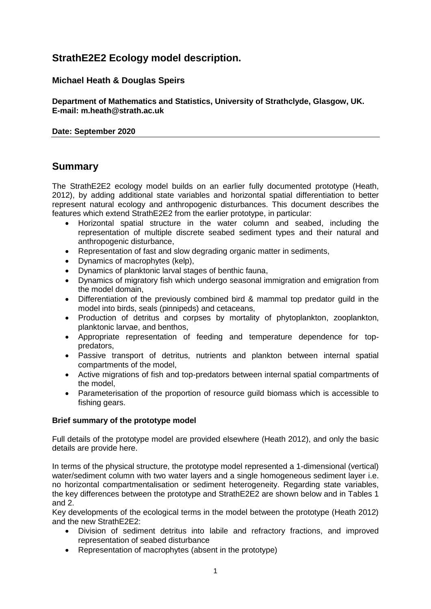# **StrathE2E2 Ecology model description.**

## **Michael Heath & Douglas Speirs**

**Department of Mathematics and Statistics, University of Strathclyde, Glasgow, UK. E-mail: m.heath@strath.ac.uk**

### **Date: September 2020**

# **Summary**

The StrathE2E2 ecology model builds on an earlier fully documented prototype (Heath, 2012), by adding additional state variables and horizontal spatial differentiation to better represent natural ecology and anthropogenic disturbances. This document describes the features which extend StrathE2E2 from the earlier prototype, in particular:

- Horizontal spatial structure in the water column and seabed, including the representation of multiple discrete seabed sediment types and their natural and anthropogenic disturbance,
- Representation of fast and slow degrading organic matter in sediments,
- Dynamics of macrophytes (kelp),
- Dynamics of planktonic larval stages of benthic fauna,
- Dynamics of migratory fish which undergo seasonal immigration and emigration from the model domain,
- Differentiation of the previously combined bird & mammal top predator guild in the model into birds, seals (pinnipeds) and cetaceans,
- Production of detritus and corpses by mortality of phytoplankton, zooplankton, planktonic larvae, and benthos,
- Appropriate representation of feeding and temperature dependence for toppredators,
- Passive transport of detritus, nutrients and plankton between internal spatial compartments of the model,
- Active migrations of fish and top-predators between internal spatial compartments of the model,
- Parameterisation of the proportion of resource guild biomass which is accessible to fishing gears.

### **Brief summary of the prototype model**

Full details of the prototype model are provided elsewhere (Heath 2012), and only the basic details are provide here.

In terms of the physical structure, the prototype model represented a 1-dimensional (vertical) water/sediment column with two water layers and a single homogeneous sediment layer i.e. no horizontal compartmentalisation or sediment heterogeneity. Regarding state variables, the key differences between the prototype and StrathE2E2 are shown below and in Tables 1 and 2.

Key developments of the ecological terms in the model between the prototype (Heath 2012) and the new StrathE2E2:

- Division of sediment detritus into labile and refractory fractions, and improved representation of seabed disturbance
- Representation of macrophytes (absent in the prototype)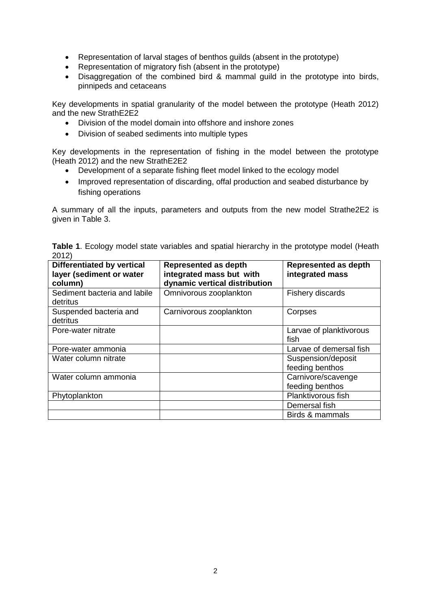- Representation of larval stages of benthos guilds (absent in the prototype)
- Representation of migratory fish (absent in the prototype)
- Disaggregation of the combined bird & mammal quild in the prototype into birds, pinnipeds and cetaceans

Key developments in spatial granularity of the model between the prototype (Heath 2012) and the new StrathE2E2

- Division of the model domain into offshore and inshore zones
- Division of seabed sediments into multiple types

Key developments in the representation of fishing in the model between the prototype (Heath 2012) and the new StrathE2E2

- Development of a separate fishing fleet model linked to the ecology model
- Improved representation of discarding, offal production and seabed disturbance by fishing operations

A summary of all the inputs, parameters and outputs from the new model Strathe2E2 is given in Table 3.

|       |  |  |  |  | Table 1. Ecology model state variables and spatial hierarchy in the prototype model (Heath |  |
|-------|--|--|--|--|--------------------------------------------------------------------------------------------|--|
| 2012) |  |  |  |  |                                                                                            |  |

| <b>Differentiated by vertical</b><br>layer (sediment or water<br>column) | <b>Represented as depth</b><br>integrated mass but with<br>dynamic vertical distribution | <b>Represented as depth</b><br>integrated mass |
|--------------------------------------------------------------------------|------------------------------------------------------------------------------------------|------------------------------------------------|
| Sediment bacteria and labile<br>detritus                                 | Omnivorous zooplankton                                                                   | Fishery discards                               |
| Suspended bacteria and<br>detritus                                       | Carnivorous zooplankton                                                                  | Corpses                                        |
| Pore-water nitrate                                                       |                                                                                          | Larvae of planktivorous<br>fish                |
| Pore-water ammonia                                                       |                                                                                          | Larvae of demersal fish                        |
| Water column nitrate                                                     |                                                                                          | Suspension/deposit<br>feeding benthos          |
| Water column ammonia                                                     |                                                                                          | Carnivore/scavenge<br>feeding benthos          |
| Phytoplankton                                                            |                                                                                          | Planktivorous fish                             |
|                                                                          |                                                                                          | Demersal fish                                  |
|                                                                          |                                                                                          | Birds & mammals                                |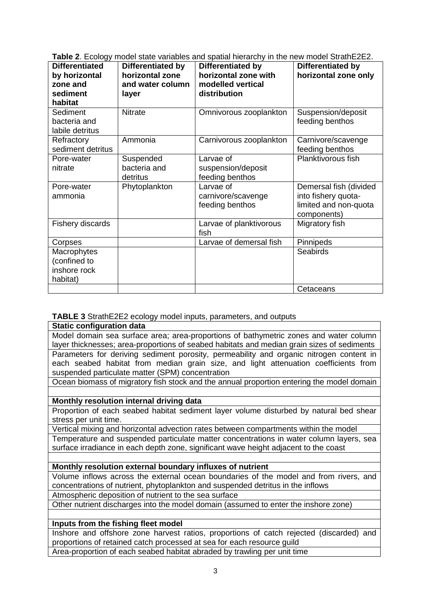|  |  | Table 2. Ecology model state variables and spatial hierarchy in the new model StrathE2E2. |
|--|--|-------------------------------------------------------------------------------------------|
|  |  |                                                                                           |

| <b>Differentiated</b><br>by horizontal<br>zone and<br>sediment<br>habitat | Differentiated by<br>horizontal zone<br>and water column<br>layer | Differentiated by<br>horizontal zone with<br>modelled vertical<br>distribution | Differentiated by<br>horizontal zone only                                             |
|---------------------------------------------------------------------------|-------------------------------------------------------------------|--------------------------------------------------------------------------------|---------------------------------------------------------------------------------------|
| Sediment<br>bacteria and<br>labile detritus                               | <b>Nitrate</b>                                                    | Omnivorous zooplankton                                                         | Suspension/deposit<br>feeding benthos                                                 |
| Refractory<br>sediment detritus                                           | Ammonia                                                           | Carnivorous zooplankton                                                        | Carnivore/scavenge<br>feeding benthos                                                 |
| Pore-water<br>nitrate                                                     | Suspended<br>bacteria and<br>detritus                             | Larvae of<br>suspension/deposit<br>feeding benthos                             | Planktivorous fish                                                                    |
| Pore-water<br>ammonia                                                     | Phytoplankton                                                     | Larvae of<br>carnivore/scavenge<br>feeding benthos                             | Demersal fish (divided<br>into fishery quota-<br>limited and non-quota<br>components) |
| Fishery discards                                                          |                                                                   | Larvae of planktivorous<br>fish                                                | Migratory fish                                                                        |
| Corpses                                                                   |                                                                   | Larvae of demersal fish                                                        | Pinnipeds                                                                             |
| Macrophytes<br>(confined to<br>inshore rock<br>habitat)                   |                                                                   |                                                                                | <b>Seabirds</b>                                                                       |
|                                                                           |                                                                   |                                                                                | Cetaceans                                                                             |

## **TABLE 3** StrathE2E2 ecology model inputs, parameters, and outputs

**Static configuration data**

Model domain sea surface area; area-proportions of bathymetric zones and water column layer thicknesses; area-proportions of seabed habitats and median grain sizes of sediments Parameters for deriving sediment porosity, permeability and organic nitrogen content in each seabed habitat from median grain size, and light attenuation coefficients from suspended particulate matter (SPM) concentration

Ocean biomass of migratory fish stock and the annual proportion entering the model domain

## **Monthly resolution internal driving data**

Proportion of each seabed habitat sediment layer volume disturbed by natural bed shear stress per unit time.

Vertical mixing and horizontal advection rates between compartments within the model Temperature and suspended particulate matter concentrations in water column layers, sea surface irradiance in each depth zone, significant wave height adjacent to the coast

## **Monthly resolution external boundary influxes of nutrient**

Volume inflows across the external ocean boundaries of the model and from rivers, and concentrations of nutrient, phytoplankton and suspended detritus in the inflows

Atmospheric deposition of nutrient to the sea surface

Other nutrient discharges into the model domain (assumed to enter the inshore zone)

## **Inputs from the fishing fleet model**

Inshore and offshore zone harvest ratios, proportions of catch rejected (discarded) and proportions of retained catch processed at sea for each resource guild Area-proportion of each seabed habitat abraded by trawling per unit time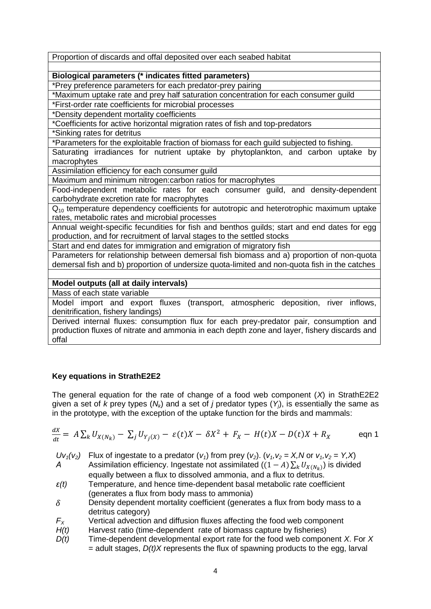Proportion of discards and offal deposited over each seabed habitat

**Biological parameters (\* indicates fitted parameters)**

\*Prey preference parameters for each predator-prey pairing

\*Maximum uptake rate and prey half saturation concentration for each consumer guild

\*First-order rate coefficients for microbial processes

\*Density dependent mortality coefficients

\*Coefficients for active horizontal migration rates of fish and top-predators

\*Sinking rates for detritus

\*Parameters for the exploitable fraction of biomass for each guild subjected to fishing.

Saturating irradiances for nutrient uptake by phytoplankton, and carbon uptake by macrophytes

Assimilation efficiency for each consumer guild

Maximum and minimum nitrogen:carbon ratios for macrophytes

Food-independent metabolic rates for each consumer guild, and density-dependent carbohydrate excretion rate for macrophytes

 $Q_{10}$  temperature dependency coefficients for autotropic and heterotrophic maximum uptake rates, metabolic rates and microbial processes

Annual weight-specific fecundities for fish and benthos guilds; start and end dates for egg production, and for recruitment of larval stages to the settled stocks

Start and end dates for immigration and emigration of migratory fish

Parameters for relationship between demersal fish biomass and a) proportion of non-quota demersal fish and b) proportion of undersize quota-limited and non-quota fish in the catches

## **Model outputs (all at daily intervals)**

Mass of each state variable

Model import and export fluxes (transport, atmospheric deposition, river inflows, denitrification, fishery landings)

Derived internal fluxes: consumption flux for each prey-predator pair, consumption and production fluxes of nitrate and ammonia in each depth zone and layer, fishery discards and offal

## **Key equations in StrathE2E2**

The general equation for the rate of change of a food web component (*X*) in StrathE2E2 given a set of *k* prey types (*Nk*) and a set of *j* predator types (*Yj*), is essentially the same as in the prototype, with the exception of the uptake function for the birds and mammals:

$$
\frac{dX}{dt} = A \sum_{k} U_{X(N_k)} - \sum_{j} U_{Y_j(X)} - \varepsilon(t)X - \delta X^2 + F_X - H(t)X - D(t)X + R_X
$$
eqn 1

*Uv*<sub>1</sub>(*v*<sub>2</sub>) Flux of ingestate to a predator (*v*<sub>1</sub>) from prey (*v*<sub>2</sub>). (*v*<sub>1</sub>*, v*<sub>2</sub> = *X*, *N* or *v*<sub>1</sub>*, v*<sub>2</sub> = *Y*, *X*) *A* Assimilation efficiency. Ingestate not assimilated  $((1 - A)\sum_k U_{X(N_k)})$  is divided equally between a flux to dissolved ammonia, and a flux to detritus.

- *ε(t)* Temperature, and hence time-dependent basal metabolic rate coefficient (generates a flux from body mass to ammonia)
- $\delta$  Density dependent mortality coefficient (generates a flux from body mass to a detritus category)
- $F_X$  Vertical advection and diffusion fluxes affecting the food web component  $H(t)$  Harvest ratio (time-dependent rate of biomass capture by fisheries)
- Harvest ratio (time-dependent rate of biomass capture by fisheries)
- *D(t)* Time-dependent developmental export rate for the food web component *X*. For *X*  $=$  adult stages,  $D(t)X$  represents the flux of spawning products to the egg, larval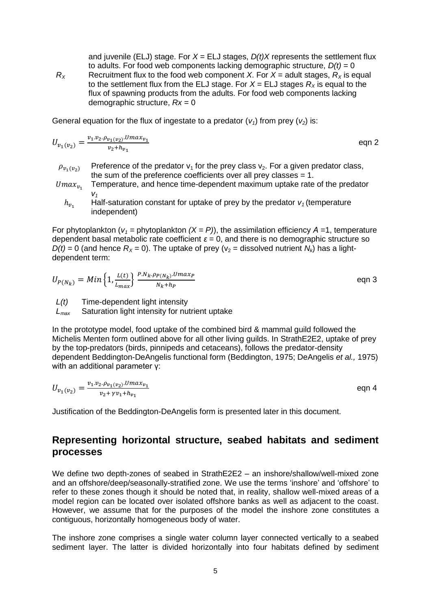and juvenile (ELJ) stage. For  $X = ELJ$  stages,  $D(t)X$  represents the settlement flux to adults. For food web components lacking demographic structure,  $D(t) = 0$ 

*R*<sub>*X*</sub> Recruitment flux to the food web component *X*. For  $X =$  adult stages,  $R_X$  is equal to the settlement flux from the ELJ stage. For  $X = ELJ$  stages  $R_X$  is equal to the flux of spawning products from the adults. For food web components lacking demographic structure, *Rx* = 0

General equation for the flux of ingestate to a predator  $(v_1)$  from prey  $(v_2)$  is:

$$
U_{v_1(v_2)} = \frac{v_1 \cdot v_2 \cdot \rho_{v_1(v_2)} \cdot U_{max_{v_1}}}{v_2 + h_{v_1}}
$$
 eqn 2

- $\rho_{v_1(v_2)}$  Preference of the predator  $v_1$  for the prey class  $v_2$ . For a given predator class, the sum of the preference coefficients over all prey classes  $= 1$ .
- $Umax_{v_1}$ Temperature, and hence time-dependent maximum uptake rate of the predator *v1*
	- $h_{\nu_1}$ Half-saturation constant for uptake of prey by the predator  $v_1$  (temperature independent)

For phytoplankton (*v<sup>1</sup> =* phytoplankton *(X = P)*), the assimilation efficiency *Α* =1, temperature dependent basal metabolic rate coefficient  $\varepsilon = 0$ , and there is no demographic structure so  $D(t) = 0$  (and hence  $R_X = 0$ ). The uptake of prey ( $v_2$  = dissolved nutrient  $N_k$ ) has a lightdependent term:

$$
U_{P(N_k)} = Min\left\{1, \frac{L(t)}{L_{max}}\right\} \frac{P.N_k \cdot P P(N_k) \cdot U max_P}{N_k + h_P}
$$
eqn 3

*L(t)* Time-dependent light intensity

*Lmax* Saturation light intensity for nutrient uptake

In the prototype model, food uptake of the combined bird & mammal guild followed the Michelis Menten form outlined above for all other living guilds. In StrathE2E2, uptake of prey by the top-predators (birds, pinnipeds and cetaceans), follows the predator-density dependent Beddington-DeAngelis functional form (Beddington, 1975; DeAngelis *et al.,* 1975) with an additional parameter γ:

$$
U_{v_1(v_2)} = \frac{v_1 \cdot v_2 \cdot \rho_{v_1(v_2)} \cdot U \cdot \max_{v_1}}{v_2 + \gamma v_1 + h_{v_1}}
$$
eqn 4

Justification of the Beddington-DeAngelis form is presented later in this document.

## **Representing horizontal structure, seabed habitats and sediment processes**

We define two depth-zones of seabed in StrathE2E2 – an inshore/shallow/well-mixed zone and an offshore/deep/seasonally-stratified zone. We use the terms 'inshore' and 'offshore' to refer to these zones though it should be noted that, in reality, shallow well-mixed areas of a model region can be located over isolated offshore banks as well as adjacent to the coast. However, we assume that for the purposes of the model the inshore zone constitutes a contiguous, horizontally homogeneous body of water.

The inshore zone comprises a single water column layer connected vertically to a seabed sediment layer. The latter is divided horizontally into four habitats defined by sediment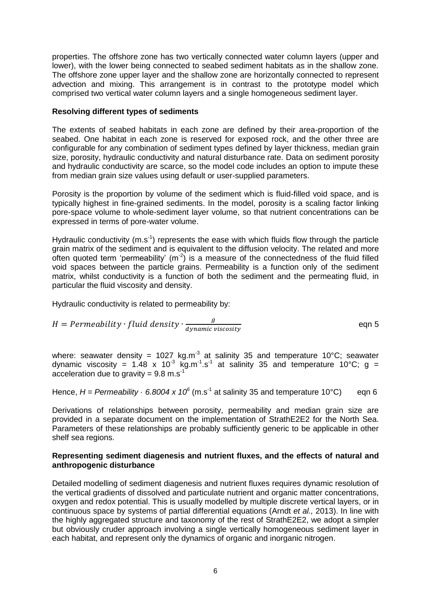properties. The offshore zone has two vertically connected water column layers (upper and lower), with the lower being connected to seabed sediment habitats as in the shallow zone. The offshore zone upper layer and the shallow zone are horizontally connected to represent advection and mixing. This arrangement is in contrast to the prototype model which comprised two vertical water column layers and a single homogeneous sediment layer.

### **Resolving different types of sediments**

The extents of seabed habitats in each zone are defined by their area-proportion of the seabed. One habitat in each zone is reserved for exposed rock, and the other three are configurable for any combination of sediment types defined by layer thickness, median grain size, porosity, hydraulic conductivity and natural disturbance rate. Data on sediment porosity and hydraulic conductivity are scarce, so the model code includes an option to impute these from median grain size values using default or user-supplied parameters.

Porosity is the proportion by volume of the sediment which is fluid-filled void space, and is typically highest in fine-grained sediments. In the model, porosity is a scaling factor linking pore-space volume to whole-sediment layer volume, so that nutrient concentrations can be expressed in terms of pore-water volume.

Hydraulic conductivity  $(m.s<sup>-1</sup>)$  represents the ease with which fluids flow through the particle grain matrix of the sediment and is equivalent to the diffusion velocity. The related and more often quoted term 'permeability'  $(m<sup>2</sup>)$  is a measure of the connectedness of the fluid filled void spaces between the particle grains. Permeability is a function only of the sediment matrix, whilst conductivity is a function of both the sediment and the permeating fluid, in particular the fluid viscosity and density.

Hydraulic conductivity is related to permeability by:

$$
H = Permeability \cdot fluid density \cdot \frac{g}{\text{dynamic viscosity}}
$$
eqn 5

where: seawater density = 1027 kg.m<sup>-3</sup> at salinity 35 and temperature 10°C; seawater dynamic viscosity = 1.48 x 10<sup>3</sup> kg.m<sup>-1</sup>.s<sup>-1</sup> at salinity 35 and temperature 10°C; g = acceleration due to gravity =  $9.8 \text{ m.s}^{-1}$ 

Hence,  $H = Permeability \cdot 6.8004 \times 10^6$  (m.s<sup>-1</sup> at salinity 35 and temperature 10°C) eqn 6

Derivations of relationships between porosity, permeability and median grain size are provided in a separate document on the implementation of StrathE2E2 for the North Sea. Parameters of these relationships are probably sufficiently generic to be applicable in other shelf sea regions.

### **Representing sediment diagenesis and nutrient fluxes, and the effects of natural and anthropogenic disturbance**

Detailed modelling of sediment diagenesis and nutrient fluxes requires dynamic resolution of the vertical gradients of dissolved and particulate nutrient and organic matter concentrations, oxygen and redox potential. This is usually modelled by multiple discrete vertical layers, or in continuous space by systems of partial differential equations (Arndt *et al.,* 2013). In line with the highly aggregated structure and taxonomy of the rest of StrathE2E2, we adopt a simpler but obviously cruder approach involving a single vertically homogeneous sediment layer in each habitat, and represent only the dynamics of organic and inorganic nitrogen.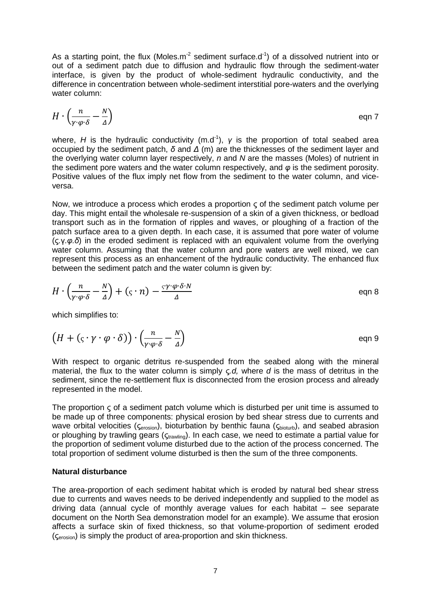As a starting point, the flux (Moles.m<sup>-2</sup> sediment surface.d<sup>-1</sup>) of a dissolved nutrient into or out of a sediment patch due to diffusion and hydraulic flow through the sediment-water interface, is given by the product of whole-sediment hydraulic conductivity, and the difference in concentration between whole-sediment interstitial pore-waters and the overlying water column:

$$
H \cdot \left(\frac{n}{\gamma \cdot \varphi \cdot \delta} - \frac{N}{\Delta}\right) \qquad \qquad \text{eqn 7}
$$

where, *H* is the hydraulic conductivity (m.d<sup>-1</sup>),  $\gamma$  is the proportion of total seabed area occupied by the sediment patch, *δ* and *Δ* (m) are the thicknesses of the sediment layer and the overlying water column layer respectively, *n* and *N* are the masses (Moles) of nutrient in the sediment pore waters and the water column respectively, and *φ* is the sediment porosity. Positive values of the flux imply net flow from the sediment to the water column, and viceversa.

Now, we introduce a process which erodes a proportion ς of the sediment patch volume per day. This might entail the wholesale re-suspension of a skin of a given thickness, or bedload transport such as in the formation of ripples and waves, or ploughing of a fraction of the patch surface area to a given depth. In each case, it is assumed that pore water of volume (ς*.*γ*.φ.δ*) in the eroded sediment is replaced with an equivalent volume from the overlying water column. Assuming that the water column and pore waters are well mixed, we can represent this process as an enhancement of the hydraulic conductivity. The enhanced flux between the sediment patch and the water column is given by:

$$
H \cdot \left(\frac{n}{\gamma \cdot \varphi \cdot \delta} - \frac{N}{\Delta}\right) + \left(\varsigma \cdot n\right) - \frac{\varsigma \cdot \gamma \cdot \varphi \cdot \delta \cdot N}{\Delta} \qquad \qquad \text{eqn 8}
$$

which simplifies to:

$$
(H + (\varsigma \cdot \gamma \cdot \varphi \cdot \delta)) \cdot \left(\frac{n}{\gamma \cdot \varphi \cdot \delta} - \frac{N}{\Delta}\right)
$$
eqn 9

With respect to organic detritus re-suspended from the seabed along with the mineral material, the flux to the water column is simply ς*.d,* where *d* is the mass of detritus in the sediment, since the re-settlement flux is disconnected from the erosion process and already represented in the model.

The proportion ς of a sediment patch volume which is disturbed per unit time is assumed to be made up of three components: physical erosion by bed shear stress due to currents and wave orbital velocities ( $\zeta_{\text{erosion}}$ ), bioturbation by benthic fauna ( $\zeta_{\text{bioturb}}$ ), and seabed abrasion or ploughing by trawling gears ( $\varsigma_{\text{trawling}}$ ). In each case, we need to estimate a partial value for the proportion of sediment volume disturbed due to the action of the process concerned. The total proportion of sediment volume disturbed is then the sum of the three components.

### **Natural disturbance**

The area-proportion of each sediment habitat which is eroded by natural bed shear stress due to currents and waves needs to be derived independently and supplied to the model as driving data (annual cycle of monthly average values for each habitat – see separate document on the North Sea demonstration model for an example). We assume that erosion affects a surface skin of fixed thickness, so that volume-proportion of sediment eroded (ςerosion) is simply the product of area-proportion and skin thickness.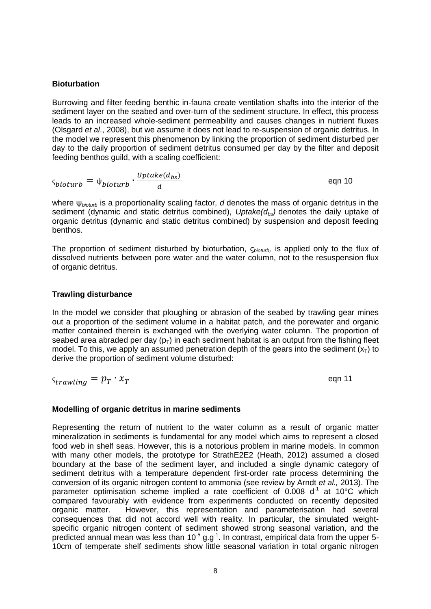### **Bioturbation**

Burrowing and filter feeding benthic in-fauna create ventilation shafts into the interior of the sediment layer on the seabed and over-turn of the sediment structure. In effect, this process leads to an increased whole-sediment permeability and causes changes in nutrient fluxes (Olsgard *et al*., 2008), but we assume it does not lead to re-suspension of organic detritus. In the model we represent this phenomenon by linking the proportion of sediment disturbed per day to the daily proportion of sediment detritus consumed per day by the filter and deposit feeding benthos guild, with a scaling coefficient:

$$
\varsigma_{bioturb} = \psi_{bioturb} \cdot \frac{Uptake(d_{bs})}{d}
$$
eqn 10

where ψ*bioturb* is a proportionality scaling factor, *d* denotes the mass of organic detritus in the sediment (dynamic and static detritus combined), *Uptake(dbs)* denotes the daily uptake of organic detritus (dynamic and static detritus combined) by suspension and deposit feeding benthos.

The proportion of sediment disturbed by bioturbation, ς*bioturb,* is applied only to the flux of dissolved nutrients between pore water and the water column, not to the resuspension flux of organic detritus.

### **Trawling disturbance**

In the model we consider that ploughing or abrasion of the seabed by trawling gear mines out a proportion of the sediment volume in a habitat patch, and the porewater and organic matter contained therein is exchanged with the overlying water column. The proportion of seabed area abraded per day  $(p_T)$  in each sediment habitat is an output from the fishing fleet model. To this, we apply an assumed penetration depth of the gears into the sediment  $(x<sub>T</sub>)$  to derive the proportion of sediment volume disturbed:

 $\varsigma_{trawling} = p_T \cdot x_T$  eqn 11

### **Modelling of organic detritus in marine sediments**

Representing the return of nutrient to the water column as a result of organic matter mineralization in sediments is fundamental for any model which aims to represent a closed food web in shelf seas. However, this is a notorious problem in marine models. In common with many other models, the prototype for StrathE2E2 (Heath, 2012) assumed a closed boundary at the base of the sediment layer, and included a single dynamic category of sediment detritus with a temperature dependent first-order rate process determining the conversion of its organic nitrogen content to ammonia (see review by Arndt *et al.,* 2013). The parameter optimisation scheme implied a rate coefficient of 0.008  $d^1$  at 10°C which compared favourably with evidence from experiments conducted on recently deposited organic matter. However, this representation and parameterisation had several consequences that did not accord well with reality. In particular, the simulated weightspecific organic nitrogen content of sediment showed strong seasonal variation, and the predicted annual mean was less than  $10^{-5}$  g.g<sup>-1</sup>. In contrast, empirical data from the upper 5-10cm of temperate shelf sediments show little seasonal variation in total organic nitrogen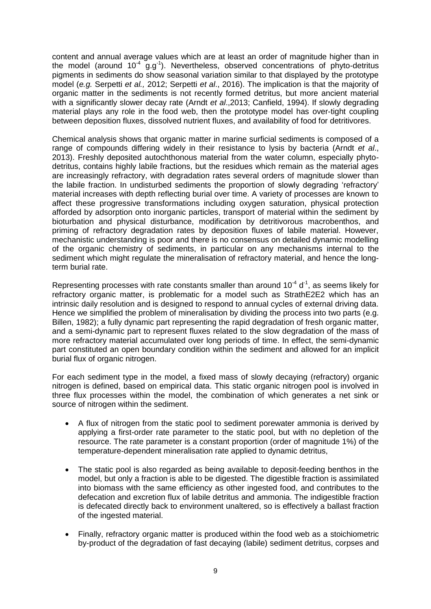content and annual average values which are at least an order of magnitude higher than in the model (around  $10^{-4}$  g.g<sup>-1</sup>). Nevertheless, observed concentrations of phyto-detritus pigments in sediments do show seasonal variation similar to that displayed by the prototype model (*e.g.* Serpetti *et al.,* 2012; Serpetti *et al*., 2016). The implication is that the majority of organic matter in the sediments is not recently formed detritus, but more ancient material with a significantly slower decay rate (Arndt *et al*.,2013; Canfield, 1994). If slowly degrading material plays any role in the food web, then the prototype model has over-tight coupling between deposition fluxes, dissolved nutrient fluxes, and availability of food for detritivores.

Chemical analysis shows that organic matter in marine surficial sediments is composed of a range of compounds differing widely in their resistance to lysis by bacteria (Arndt *et al*., 2013). Freshly deposited autochthonous material from the water column, especially phytodetritus, contains highly labile fractions, but the residues which remain as the material ages are increasingly refractory, with degradation rates several orders of magnitude slower than the labile fraction. In undisturbed sediments the proportion of slowly degrading 'refractory' material increases with depth reflecting burial over time. A variety of processes are known to affect these progressive transformations including oxygen saturation, physical protection afforded by adsorption onto inorganic particles, transport of material within the sediment by bioturbation and physical disturbance, modification by detritivorous macrobenthos, and priming of refractory degradation rates by deposition fluxes of labile material. However, mechanistic understanding is poor and there is no consensus on detailed dynamic modelling of the organic chemistry of sediments, in particular on any mechanisms internal to the sediment which might regulate the mineralisation of refractory material, and hence the longterm burial rate.

Representing processes with rate constants smaller than around  $10^{-4}$  d<sup>-1</sup>, as seems likely for refractory organic matter, is problematic for a model such as StrathE2E2 which has an intrinsic daily resolution and is designed to respond to annual cycles of external driving data. Hence we simplified the problem of mineralisation by dividing the process into two parts (e.g. Billen, 1982); a fully dynamic part representing the rapid degradation of fresh organic matter, and a semi-dynamic part to represent fluxes related to the slow degradation of the mass of more refractory material accumulated over long periods of time. In effect, the semi-dynamic part constituted an open boundary condition within the sediment and allowed for an implicit burial flux of organic nitrogen.

For each sediment type in the model, a fixed mass of slowly decaying (refractory) organic nitrogen is defined, based on empirical data. This static organic nitrogen pool is involved in three flux processes within the model, the combination of which generates a net sink or source of nitrogen within the sediment.

- A flux of nitrogen from the static pool to sediment porewater ammonia is derived by applying a first-order rate parameter to the static pool, but with no depletion of the resource. The rate parameter is a constant proportion (order of magnitude 1%) of the temperature-dependent mineralisation rate applied to dynamic detritus,
- The static pool is also regarded as being available to deposit-feeding benthos in the model, but only a fraction is able to be digested. The digestible fraction is assimilated into biomass with the same efficiency as other ingested food, and contributes to the defecation and excretion flux of labile detritus and ammonia. The indigestible fraction is defecated directly back to environment unaltered, so is effectively a ballast fraction of the ingested material.
- Finally, refractory organic matter is produced within the food web as a stoichiometric by-product of the degradation of fast decaying (labile) sediment detritus, corpses and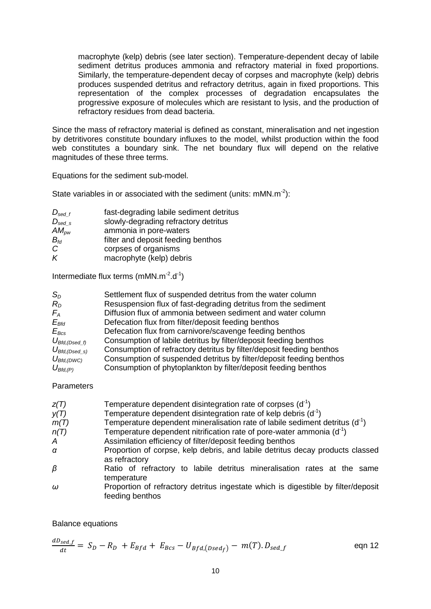macrophyte (kelp) debris (see later section). Temperature-dependent decay of labile sediment detritus produces ammonia and refractory material in fixed proportions. Similarly, the temperature-dependent decay of corpses and macrophyte (kelp) debris produces suspended detritus and refractory detritus, again in fixed proportions. This representation of the complex processes of degradation encapsulates the progressive exposure of molecules which are resistant to lysis, and the production of refractory residues from dead bacteria.

Since the mass of refractory material is defined as constant, mineralisation and net ingestion by detritivores constitute boundary influxes to the model, whilst production within the food web constitutes a boundary sink. The net boundary flux will depend on the relative magnitudes of these three terms.

Equations for the sediment sub-model.

State variables in or associated with the sediment (units:  $mMN.m<sup>-2</sup>$ ):

| $D_{\text{sed}\_f}$          | fast-degrading labile sediment detritus |
|------------------------------|-----------------------------------------|
| $D_{\text{sed }s}$           | slowly-degrading refractory detritus    |
| $AM_{\scriptscriptstyle DW}$ | ammonia in pore-waters                  |
| $B_{td}$                     | filter and deposit feeding benthos      |
| C                            | corpses of organisms                    |
| K                            | macrophyte (kelp) debris                |

Intermediate flux terms  $(mMN.m^{-2}.d^{-1})$ 

| $S_{D}$             | Settlement flux of suspended detritus from the water column          |
|---------------------|----------------------------------------------------------------------|
| $R_{D}$             | Resuspension flux of fast-degrading detritus from the sediment       |
| $F_A$               | Diffusion flux of ammonia between sediment and water column          |
| $E_{Bfd}$           | Defecation flux from filter/deposit feeding benthos                  |
| $E_{Bcs}$           | Defecation flux from carnivore/scavenge feeding benthos              |
| $U_{Bfd,(Dsed_f)}$  | Consumption of labile detritus by filter/deposit feeding benthos     |
| $U_{Bfd,(Dsed\_s)}$ | Consumption of refractory detritus by filter/deposit feeding benthos |
| $U_{Bfd,(DWC)}$     | Consumption of suspended detritus by filter/deposit feeding benthos  |
| $U_{Bfd,(P)}$       | Consumption of phytoplankton by filter/deposit feeding benthos       |

### Parameters

| Z(T) | Temperature dependent disintegration rate of corpses $(d-1)$                                         |
|------|------------------------------------------------------------------------------------------------------|
| y(T) | Temperature dependent disintegration rate of kelp debris (d <sup>-1</sup> )                          |
| m(T) | Temperature dependent mineralisation rate of labile sediment detritus $(d-1)$                        |
| n(T) | Temperature dependent nitrification rate of pore-water ammonia $(d-1)$                               |
| A    | Assimilation efficiency of filter/deposit feeding benthos                                            |
| α    | Proportion of corpse, kelp debris, and labile detritus decay products classed<br>as refractory       |
| β    | Ratio of refractory to labile detritus mineralisation rates at the same<br>temperature               |
| ω    | Proportion of refractory detritus ingestate which is digestible by filter/deposit<br>feeding benthos |

Balance equations

$$
\frac{dD_{sed.f}}{dt} = S_D - R_D + E_{Bfd} + E_{BCS} - U_{Bfd,(Dsed_f)} - m(T) \cdot D_{sed.f} \qquad \text{eqn 12}
$$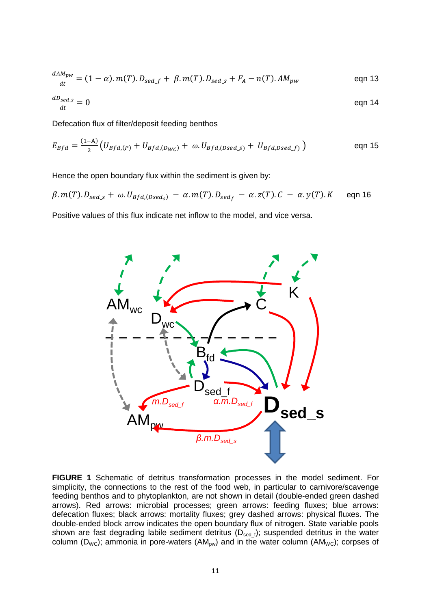$$
\frac{d^{A}M_{pw}}{dt} = (1 - \alpha) \cdot m(T) \cdot D_{sed\_f} + \beta \cdot m(T) \cdot D_{sed\_s} + F_A - n(T) \cdot AM_{pw}
$$
eqn 13

$$
\frac{dD_{sed\_s}}{dt} = 0
$$
eqn 14

Defecation flux of filter/deposit feeding benthos

$$
E_{Bfd} = \frac{(1-A)}{2} \Big( U_{Bfd,(P)} + U_{Bfd,(D_{WC})} + \omega \cdot U_{Bfd,(Dsed_s)} + U_{Bfd,Dsed_f)} \Big)
$$
eqn 15

Hence the open boundary flux within the sediment is given by:

$$
\beta.m(T).D_{\text{sed}\_S} + \omega.U_{\text{Bfd},(\text{Dsed}_S)} - \alpha.m(T).D_{\text{sed}_f} - \alpha.z(T).C - \alpha.y(T).K \quad \text{eqn 16}
$$

Positive values of this flux indicate net inflow to the model, and vice versa.



**FIGURE 1** Schematic of detritus transformation processes in the model sediment. For simplicity, the connections to the rest of the food web, in particular to carnivore/scavenge feeding benthos and to phytoplankton, are not shown in detail (double-ended green dashed arrows). Red arrows: microbial processes; green arrows: feeding fluxes; blue arrows: defecation fluxes; black arrows: mortality fluxes; grey dashed arrows: physical fluxes. The double-ended block arrow indicates the open boundary flux of nitrogen. State variable pools shown are fast degrading labile sediment detritus ( $D_{\text{sed }f}$ ); suspended detritus in the water column ( $D_{WC}$ ); ammonia in pore-waters ( $AM_{pw}$ ) and in the water column ( $AM_{WC}$ ); corpses of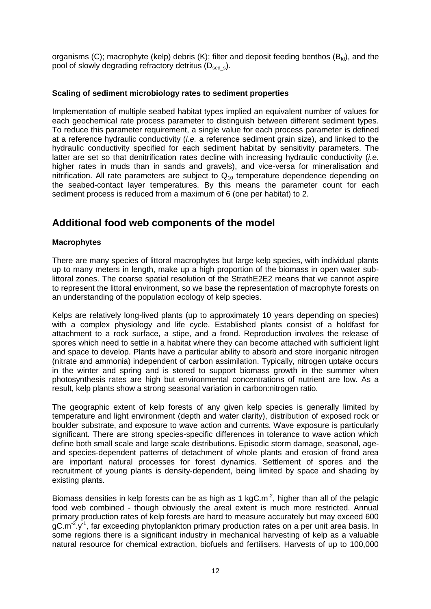organisms (C); macrophyte (kelp) debris (K); filter and deposit feeding benthos ( $B_{fd}$ ), and the pool of slowly degrading refractory detritus  $(D_{\text{sed s}})$ .

### **Scaling of sediment microbiology rates to sediment properties**

Implementation of multiple seabed habitat types implied an equivalent number of values for each geochemical rate process parameter to distinguish between different sediment types. To reduce this parameter requirement, a single value for each process parameter is defined at a reference hydraulic conductivity (*i.e.* a reference sediment grain size), and linked to the hydraulic conductivity specified for each sediment habitat by sensitivity parameters. The latter are set so that denitrification rates decline with increasing hydraulic conductivity (*i.e*. higher rates in muds than in sands and gravels), and vice-versa for mineralisation and nitrification. All rate parameters are subject to  $Q_{10}$  temperature dependence depending on the seabed-contact layer temperatures. By this means the parameter count for each sediment process is reduced from a maximum of 6 (one per habitat) to 2.

## **Additional food web components of the model**

### **Macrophytes**

There are many species of littoral macrophytes but large kelp species, with individual plants up to many meters in length, make up a high proportion of the biomass in open water sublittoral zones. The coarse spatial resolution of the StrathE2E2 means that we cannot aspire to represent the littoral environment, so we base the representation of macrophyte forests on an understanding of the population ecology of kelp species.

Kelps are relatively long-lived plants (up to approximately 10 years depending on species) with a complex physiology and life cycle. Established plants consist of a holdfast for attachment to a rock surface, a stipe, and a frond. Reproduction involves the release of spores which need to settle in a habitat where they can become attached with sufficient light and space to develop. Plants have a particular ability to absorb and store inorganic nitrogen (nitrate and ammonia) independent of carbon assimilation. Typically, nitrogen uptake occurs in the winter and spring and is stored to support biomass growth in the summer when photosynthesis rates are high but environmental concentrations of nutrient are low. As a result, kelp plants show a strong seasonal variation in carbon:nitrogen ratio.

The geographic extent of kelp forests of any given kelp species is generally limited by temperature and light environment (depth and water clarity), distribution of exposed rock or boulder substrate, and exposure to wave action and currents. Wave exposure is particularly significant. There are strong species-specific differences in tolerance to wave action which define both small scale and large scale distributions. Episodic storm damage, seasonal, ageand species-dependent patterns of detachment of whole plants and erosion of frond area are important natural processes for forest dynamics. Settlement of spores and the recruitment of young plants is density-dependent, being limited by space and shading by existing plants.

Biomass densities in kelp forests can be as high as 1 kgC.m<sup>-2</sup>, higher than all of the pelagic food web combined - though obviously the areal extent is much more restricted. Annual primary production rates of kelp forests are hard to measure accurately but may exceed 600 gC.m<sup>-2</sup>.y<sup>-1</sup>, far exceeding phytoplankton primary production rates on a per unit area basis. In some regions there is a significant industry in mechanical harvesting of kelp as a valuable natural resource for chemical extraction, biofuels and fertilisers. Harvests of up to 100,000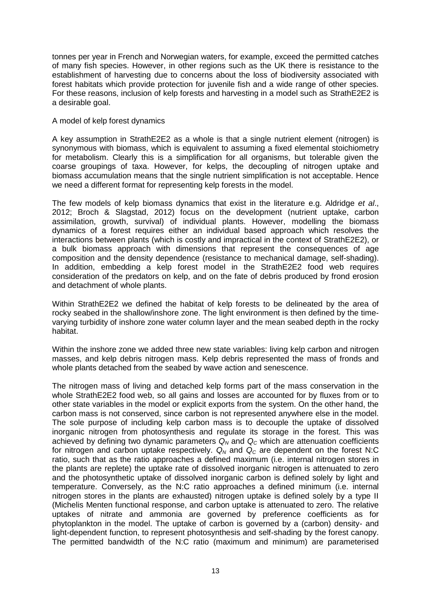tonnes per year in French and Norwegian waters, for example, exceed the permitted catches of many fish species. However, in other regions such as the UK there is resistance to the establishment of harvesting due to concerns about the loss of biodiversity associated with forest habitats which provide protection for juvenile fish and a wide range of other species. For these reasons, inclusion of kelp forests and harvesting in a model such as StrathE2E2 is a desirable goal.

### A model of kelp forest dynamics

A key assumption in StrathE2E2 as a whole is that a single nutrient element (nitrogen) is synonymous with biomass, which is equivalent to assuming a fixed elemental stoichiometry for metabolism. Clearly this is a simplification for all organisms, but tolerable given the coarse groupings of taxa. However, for kelps, the decoupling of nitrogen uptake and biomass accumulation means that the single nutrient simplification is not acceptable. Hence we need a different format for representing kelp forests in the model.

The few models of kelp biomass dynamics that exist in the literature e.g. Aldridge *et al*., 2012; Broch & Slagstad, 2012) focus on the development (nutrient uptake, carbon assimilation, growth, survival) of individual plants. However, modelling the biomass dynamics of a forest requires either an individual based approach which resolves the interactions between plants (which is costly and impractical in the context of StrathE2E2), or a bulk biomass approach with dimensions that represent the consequences of age composition and the density dependence (resistance to mechanical damage, self-shading). In addition, embedding a kelp forest model in the StrathE2E2 food web requires consideration of the predators on kelp, and on the fate of debris produced by frond erosion and detachment of whole plants.

Within StrathE2E2 we defined the habitat of kelp forests to be delineated by the area of rocky seabed in the shallow/inshore zone. The light environment is then defined by the timevarying turbidity of inshore zone water column layer and the mean seabed depth in the rocky habitat.

Within the inshore zone we added three new state variables: living kelp carbon and nitrogen masses, and kelp debris nitrogen mass. Kelp debris represented the mass of fronds and whole plants detached from the seabed by wave action and senescence.

The nitrogen mass of living and detached kelp forms part of the mass conservation in the whole StrathE2E2 food web, so all gains and losses are accounted for by fluxes from or to other state variables in the model or explicit exports from the system. On the other hand, the carbon mass is not conserved, since carbon is not represented anywhere else in the model. The sole purpose of including kelp carbon mass is to decouple the uptake of dissolved inorganic nitrogen from photosynthesis and regulate its storage in the forest. This was achieved by defining two dynamic parameters  $Q_N$  and  $Q_C$  which are attenuation coefficients for nitrogen and carbon uptake respectively. *Q<sup>N</sup>* and *Q<sup>C</sup>* are dependent on the forest N:C ratio, such that as the ratio approaches a defined maximum (i.e. internal nitrogen stores in the plants are replete) the uptake rate of dissolved inorganic nitrogen is attenuated to zero and the photosynthetic uptake of dissolved inorganic carbon is defined solely by light and temperature. Conversely, as the N:C ratio approaches a defined minimum (i.e. internal nitrogen stores in the plants are exhausted) nitrogen uptake is defined solely by a type II (Michelis Menten functional response, and carbon uptake is attenuated to zero. The relative uptakes of nitrate and ammonia are governed by preference coefficients as for phytoplankton in the model. The uptake of carbon is governed by a (carbon) density- and light-dependent function, to represent photosynthesis and self-shading by the forest canopy. The permitted bandwidth of the N:C ratio (maximum and minimum) are parameterised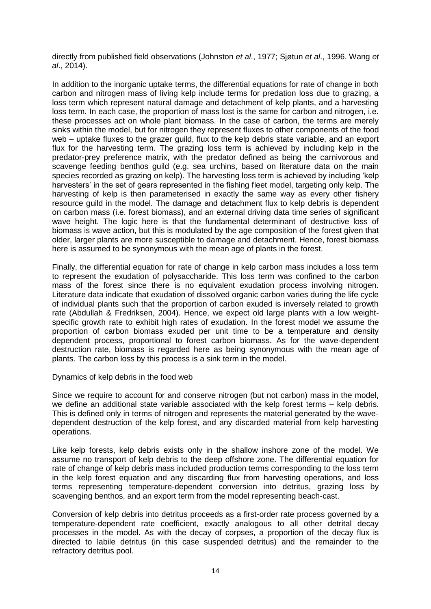directly from published field observations (Johnston *et al*., 1977; Sjøtun *et al*., 1996. Wang *et al*., 2014).

In addition to the inorganic uptake terms, the differential equations for rate of change in both carbon and nitrogen mass of living kelp include terms for predation loss due to grazing, a loss term which represent natural damage and detachment of kelp plants, and a harvesting loss term. In each case, the proportion of mass lost is the same for carbon and nitrogen, i.e. these processes act on whole plant biomass. In the case of carbon, the terms are merely sinks within the model, but for nitrogen they represent fluxes to other components of the food web – uptake fluxes to the grazer guild, flux to the kelp debris state variable, and an export flux for the harvesting term. The grazing loss term is achieved by including kelp in the predator-prey preference matrix, with the predator defined as being the carnivorous and scavenge feeding benthos guild (e.g. sea urchins, based on literature data on the main species recorded as grazing on kelp). The harvesting loss term is achieved by including 'kelp harvesters' in the set of gears represented in the fishing fleet model, targeting only kelp. The harvesting of kelp is then parameterised in exactly the same way as every other fishery resource guild in the model. The damage and detachment flux to kelp debris is dependent on carbon mass (i.e. forest biomass), and an external driving data time series of significant wave height. The logic here is that the fundamental determinant of destructive loss of biomass is wave action, but this is modulated by the age composition of the forest given that older, larger plants are more susceptible to damage and detachment. Hence, forest biomass here is assumed to be synonymous with the mean age of plants in the forest.

Finally, the differential equation for rate of change in kelp carbon mass includes a loss term to represent the exudation of polysaccharide. This loss term was confined to the carbon mass of the forest since there is no equivalent exudation process involving nitrogen. Literature data indicate that exudation of dissolved organic carbon varies during the life cycle of individual plants such that the proportion of carbon exuded is inversely related to growth rate (Abdullah & Fredriksen, 2004). Hence, we expect old large plants with a low weightspecific growth rate to exhibit high rates of exudation. In the forest model we assume the proportion of carbon biomass exuded per unit time to be a temperature and density dependent process, proportional to forest carbon biomass. As for the wave-dependent destruction rate, biomass is regarded here as being synonymous with the mean age of plants. The carbon loss by this process is a sink term in the model.

Dynamics of kelp debris in the food web

Since we require to account for and conserve nitrogen (but not carbon) mass in the model, we define an additional state variable associated with the kelp forest terms – kelp debris. This is defined only in terms of nitrogen and represents the material generated by the wavedependent destruction of the kelp forest, and any discarded material from kelp harvesting operations.

Like kelp forests, kelp debris exists only in the shallow inshore zone of the model. We assume no transport of kelp debris to the deep offshore zone. The differential equation for rate of change of kelp debris mass included production terms corresponding to the loss term in the kelp forest equation and any discarding flux from harvesting operations, and loss terms representing temperature-dependent conversion into detritus, grazing loss by scavenging benthos, and an export term from the model representing beach-cast.

Conversion of kelp debris into detritus proceeds as a first-order rate process governed by a temperature-dependent rate coefficient, exactly analogous to all other detrital decay processes in the model. As with the decay of corpses, a proportion of the decay flux is directed to labile detritus (in this case suspended detritus) and the remainder to the refractory detritus pool.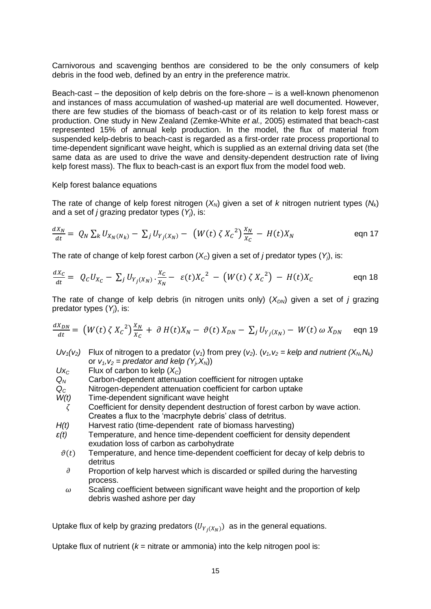Carnivorous and scavenging benthos are considered to be the only consumers of kelp debris in the food web, defined by an entry in the preference matrix.

Beach-cast – the deposition of kelp debris on the fore-shore – is a well-known phenomenon and instances of mass accumulation of washed-up material are well documented. However, there are few studies of the biomass of beach-cast or of its relation to kelp forest mass or production. One study in New Zealand (Zemke-White *et al.,* 2005) estimated that beach-cast represented 15% of annual kelp production. In the model, the flux of material from suspended kelp-debris to beach-cast is regarded as a first-order rate process proportional to time-dependent significant wave height, which is supplied as an external driving data set (the same data as are used to drive the wave and density-dependent destruction rate of living kelp forest mass). The flux to beach-cast is an export flux from the model food web.

#### Kelp forest balance equations

The rate of change of kelp forest nitrogen  $(X_N)$  given a set of *k* nitrogen nutrient types  $(N_k)$ and a set of *j* grazing predator types (*Yj*), is:

$$
\frac{dX_N}{dt} = Q_N \sum_k U_{X_N(N_k)} - \sum_j U_{Y_j(X_N)} - (W(t) \zeta X_c^2) \frac{X_N}{X_c} - H(t)X_N
$$
eqn 17

The rate of change of kelp forest carbon  $(X<sub>C</sub>)$  given a set of *j* predator types  $(Y<sub>i</sub>)$ , is:

$$
\frac{dX_C}{dt} = Q_C U_{X_C} - \sum_j U_{Y_j(X_N)} \cdot \frac{X_C}{X_N} - \varepsilon(t) X_C^2 - \left( W(t) \zeta X_C^2 \right) - H(t) X_C
$$
eqn 18

The rate of change of kelp debris (in nitrogen units only)  $(X_{DN})$  given a set of *j* grazing predator types (*Yj*), is:

$$
\frac{dX_{DN}}{dt} = \left( W(t) \zeta X_c^2 \right) \frac{X_N}{X_c} + \partial H(t) X_N - \vartheta(t) X_{DN} - \sum_j U_{Y_j(X_N)} - W(t) \omega X_{DN} \quad \text{eqn 19}
$$

- $Uv_1(v_2)$  Flux of nitrogen to a predator  $(v_1)$  from prey  $(v_2)$ .  $(v_1, v_2 =$  kelp and nutrient  $(X_N, N_k)$ or  $v_1$ ,  $v_2$  = predator and kelp  $(Y_i, X_N)$
- $Ux_c$  Flux of carbon to kelp  $(X_c)$
- 
- $Q_N$  Carbon-dependent attenuation coefficient for nitrogen uptake  $Q_C$  Nitrogen-dependent attenuation coefficient for carbon uptake *Q<sup>C</sup>* Nitrogen-dependent attenuation coefficient for carbon uptake
- *W(t)* Time-dependent significant wave height
- $\zeta$  Coefficient for density dependent destruction of forest carbon by wave action. Creates a flux to the 'macrphyte debris' class of detritus.
- *H(t)* Harvest ratio (time-dependent rate of biomass harvesting)
- *ε(t)* Temperature, and hence time-dependent coefficient for density dependent exudation loss of carbon as carbohydrate
	- $\vartheta(t)$  Temperature, and hence time-dependent coefficient for decay of kelp debris to detritus
		- $\partial$  Proportion of kelp harvest which is discarded or spilled during the harvesting process.
		- $\omega$  Scaling coefficient between significant wave height and the proportion of kelp debris washed ashore per day

Uptake flux of kelp by grazing predators  $(U_{Y_j(X_N)})$  as in the general equations.

Uptake flux of nutrient ( $k =$  nitrate or ammonia) into the kelp nitrogen pool is: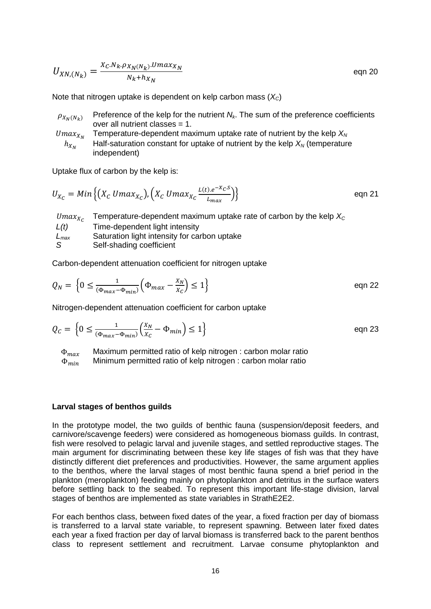$$
U_{XN,(N_k)} = \frac{X_c.N_k. \rho_{X_N(N_k)}. Umax_{X_N}}{N_k + h_{X_N}}
$$
eqn 20

Note that nitrogen uptake is dependent on kelp carbon mass (*XC*)

- $\rho_{X_N(N_k)}$  Preference of the kelp for the nutrient  $N_k$ . The sum of the preference coefficients over all nutrient classes = 1.
- $Umax_{X_N}$ Temperature-dependent maximum uptake rate of nutrient by the kelp  $X_N$  $h_{X_N}$ Half-saturation constant for uptake of nutrient by the kelp  $X_N$  (temperature independent)

Uptake flux of carbon by the kelp is:

$$
U_{X_C} = Min\left\{ (X_C \, Umax_{X_C}), \left( X_C \, Umax_{X_C} \frac{L(t) \cdot e^{-X_C S}}{L_{max}} \right) \right\}
$$
eqn 21

|           | Umax <sub>x<sub>c</sub></sub> Temperature-dependent maximum uptake rate of carbon by the kelp $X_c$ |
|-----------|-----------------------------------------------------------------------------------------------------|
| L(t)      | Time-dependent light intensity                                                                      |
| $L_{max}$ | Saturation light intensity for carbon uptake                                                        |
|           | Self-shading coefficient                                                                            |

Carbon-dependent attenuation coefficient for nitrogen uptake

$$
Q_N = \left\{0 \le \frac{1}{(\Phi_{max} - \Phi_{min})} \left(\Phi_{max} - \frac{x_N}{x_C}\right) \le 1\right\}
$$
eqn 22

Nitrogen-dependent attenuation coefficient for carbon uptake

$$
Q_C = \left\{ 0 \le \frac{1}{(\Phi_{max} - \Phi_{min})} \left( \frac{X_N}{X_C} - \Phi_{min} \right) \le 1 \right\}
$$
eqn 23

 $\Phi_{max}$  Maximum permitted ratio of kelp nitrogen : carbon molar ratio  $\Phi_{min}$  Minimum permitted ratio of kelp nitrogen : carbon molar ratio Minimum permitted ratio of kelp nitrogen : carbon molar ratio

#### **Larval stages of benthos guilds**

In the prototype model, the two guilds of benthic fauna (suspension/deposit feeders, and carnivore/scavenge feeders) were considered as homogeneous biomass guilds. In contrast, fish were resolved to pelagic larval and juvenile stages, and settled reproductive stages. The main argument for discriminating between these key life stages of fish was that they have distinctly different diet preferences and productivities. However, the same argument applies to the benthos, where the larval stages of most benthic fauna spend a brief period in the plankton (meroplankton) feeding mainly on phytoplankton and detritus in the surface waters before settling back to the seabed. To represent this important life-stage division, larval stages of benthos are implemented as state variables in StrathE2E2.

For each benthos class, between fixed dates of the year, a fixed fraction per day of biomass is transferred to a larval state variable, to represent spawning. Between later fixed dates each year a fixed fraction per day of larval biomass is transferred back to the parent benthos class to represent settlement and recruitment. Larvae consume phytoplankton and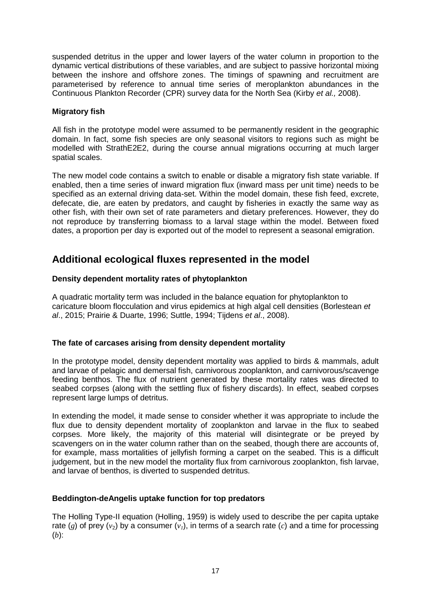suspended detritus in the upper and lower layers of the water column in proportion to the dynamic vertical distributions of these variables, and are subject to passive horizontal mixing between the inshore and offshore zones. The timings of spawning and recruitment are parameterised by reference to annual time series of meroplankton abundances in the Continuous Plankton Recorder (CPR) survey data for the North Sea (Kirby *et al.,* 2008).

### **Migratory fish**

All fish in the prototype model were assumed to be permanently resident in the geographic domain. In fact, some fish species are only seasonal visitors to regions such as might be modelled with StrathE2E2, during the course annual migrations occurring at much larger spatial scales.

The new model code contains a switch to enable or disable a migratory fish state variable. If enabled, then a time series of inward migration flux (inward mass per unit time) needs to be specified as an external driving data-set. Within the model domain, these fish feed, excrete, defecate, die, are eaten by predators, and caught by fisheries in exactly the same way as other fish, with their own set of rate parameters and dietary preferences. However, they do not reproduce by transferring biomass to a larval stage within the model. Between fixed dates, a proportion per day is exported out of the model to represent a seasonal emigration.

# **Additional ecological fluxes represented in the model**

### **Density dependent mortality rates of phytoplankton**

A quadratic mortality term was included in the balance equation for phytoplankton to caricature bloom flocculation and virus epidemics at high algal cell densities (Borlestean *et al*., 2015; Prairie & Duarte, 1996; Suttle, 1994; Tijdens *et al*., 2008).

## **The fate of carcases arising from density dependent mortality**

In the prototype model, density dependent mortality was applied to birds & mammals, adult and larvae of pelagic and demersal fish, carnivorous zooplankton, and carnivorous/scavenge feeding benthos. The flux of nutrient generated by these mortality rates was directed to seabed corpses (along with the settling flux of fishery discards). In effect, seabed corpses represent large lumps of detritus.

In extending the model, it made sense to consider whether it was appropriate to include the flux due to density dependent mortality of zooplankton and larvae in the flux to seabed corpses. More likely, the majority of this material will disintegrate or be preyed by scavengers on in the water column rather than on the seabed, though there are accounts of, for example, mass mortalities of jellyfish forming a carpet on the seabed. This is a difficult judgement, but in the new model the mortality flux from carnivorous zooplankton, fish larvae, and larvae of benthos, is diverted to suspended detritus.

### **Beddington-deAngelis uptake function for top predators**

The Holling Type-II equation (Holling, 1959) is widely used to describe the per capita uptake rate (g) of prey ( $v_2$ ) by a consumer ( $v_1$ ), in terms of a search rate (c) and a time for processing (*b*):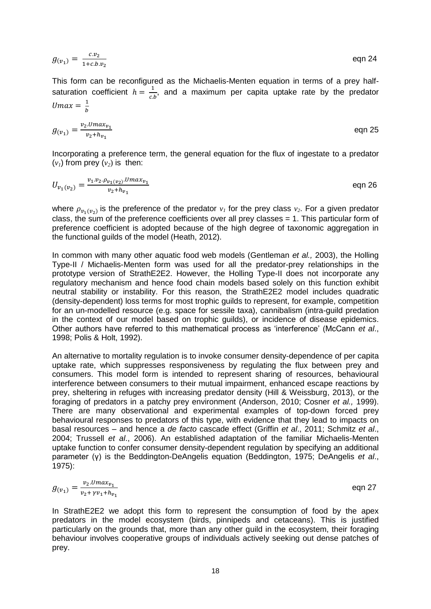eqn 24

This form can be reconfigured as the Michaelis-Menten equation in terms of a prey halfsaturation coefficient  $h = \frac{1}{a}$  $\frac{1}{c.b}$ , and a maximum per capita uptake rate by the predator  $Umax = \frac{1}{b}$  $\boldsymbol{b}$ 

 $g_{(v_1)} = \frac{c.v_2}{1+c.h}$ 

 $1+c.b.v_2$ 

$$
g_{(v_1)} = \frac{v_2 \cdot U m a x_{v_1}}{v_2 + h_{v_1}}
$$
eqn 25

Incorporating a preference term, the general equation for the flux of ingestate to a predator  $(v_i)$  from prev  $(v_i)$  is then:

$$
U_{v_1(v_2)} = \frac{v_1 \cdot v_2 \cdot \rho_{v_1(v_2)} \cdot U_{max_{v_1}}}{v_2 + h_{v_1}}
$$
eqn 26

where  $\rho_{v_1(v_2)}$  is the preference of the predator  $v_1$  for the prey class  $v_2$ . For a given predator class, the sum of the preference coefficients over all prey classes  $= 1$ . This particular form of preference coefficient is adopted because of the high degree of taxonomic aggregation in the functional guilds of the model (Heath, 2012).

In common with many other aquatic food web models (Gentleman *et al.,* 2003), the Holling Type-II / Michaelis-Menten form was used for all the predator-prey relationships in the prototype version of StrathE2E2. However, the Holling Type-II does not incorporate any regulatory mechanism and hence food chain models based solely on this function exhibit neutral stability or instability. For this reason, the StrathE2E2 model includes quadratic (density-dependent) loss terms for most trophic guilds to represent, for example, competition for an un-modelled resource (e.g. space for sessile taxa), cannibalism (intra-guild predation in the context of our model based on trophic guilds), or incidence of disease epidemics. Other authors have referred to this mathematical process as 'interference' (McCann *et al*., 1998; Polis & Holt, 1992).

An alternative to mortality regulation is to invoke consumer density-dependence of per capita uptake rate, which suppresses responsiveness by regulating the flux between prey and consumers. This model form is intended to represent sharing of resources, behavioural interference between consumers to their mutual impairment, enhanced escape reactions by prey, sheltering in refuges with increasing predator density (Hill & Weissburg, 2013), or the foraging of predators in a patchy prey environment (Anderson, 2010; Cosner *et al.,* 1999). There are many observational and experimental examples of top-down forced prey behavioural responses to predators of this type, with evidence that they lead to impacts on basal resources – and hence a *de facto* cascade effect (Griffin *et al*., 2011; Schmitz *et al*., 2004; Trussell *et al*., 2006). An established adaptation of the familiar Michaelis-Menten uptake function to confer consumer density-dependent regulation by specifying an additional parameter (γ) is the Beddington-DeAngelis equation (Beddington, 1975; DeAngelis *et al*., 1975):

$$
g_{(v_1)} = \frac{v_2 \cdot U \cdot \max_{v_1}}{v_2 + \gamma v_1 + h_{v_1}}
$$
eqn 27

In StrathE2E2 we adopt this form to represent the consumption of food by the apex predators in the model ecosystem (birds, pinnipeds and cetaceans). This is justified particularly on the grounds that, more than any other guild in the ecosystem, their foraging behaviour involves cooperative groups of individuals actively seeking out dense patches of prey.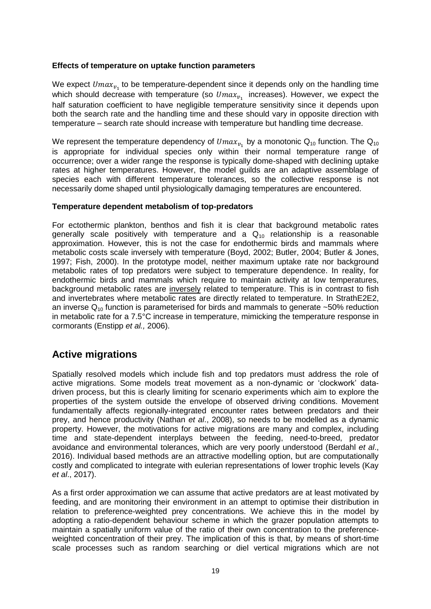### **Effects of temperature on uptake function parameters**

We expect  $Umax_{v_1}$  to be temperature-dependent since it depends only on the handling time which should decrease with temperature (so  $Umax_{v_1}$  increases). However, we expect the half saturation coefficient to have negligible temperature sensitivity since it depends upon both the search rate and the handling time and these should vary in opposite direction with temperature – search rate should increase with temperature but handling time decrease.

We represent the temperature dependency of  $Umax_{v_1}$  by a monotonic  $\mathsf{Q}_{10}$  function. The  $\mathsf{Q}_{10}$ is appropriate for individual species only within their normal temperature range of occurrence; over a wider range the response is typically dome-shaped with declining uptake rates at higher temperatures. However, the model guilds are an adaptive assemblage of species each with different temperature tolerances, so the collective response is not necessarily dome shaped until physiologically damaging temperatures are encountered.

### **Temperature dependent metabolism of top-predators**

For ectothermic plankton, benthos and fish it is clear that background metabolic rates generally scale positively with temperature and a  $Q_{10}$  relationship is a reasonable approximation. However, this is not the case for endothermic birds and mammals where metabolic costs scale inversely with temperature (Boyd, 2002; Butler, 2004; Butler & Jones, 1997; Fish, 2000). In the prototype model, neither maximum uptake rate nor background metabolic rates of top predators were subject to temperature dependence. In reality, for endothermic birds and mammals which require to maintain activity at low temperatures, background metabolic rates are inversely related to temperature. This is in contrast to fish and invertebrates where metabolic rates are directly related to temperature. In StrathE2E2, an inverse  $Q_{10}$  function is parameterised for birds and mammals to generate ~50% reduction in metabolic rate for a 7.5°C increase in temperature, mimicking the temperature response in cormorants (Enstipp *et al.,* 2006).

# **Active migrations**

Spatially resolved models which include fish and top predators must address the role of active migrations. Some models treat movement as a non-dynamic or 'clockwork' datadriven process, but this is clearly limiting for scenario experiments which aim to explore the properties of the system outside the envelope of observed driving conditions. Movement fundamentally affects regionally-integrated encounter rates between predators and their prey, and hence productivity (Nathan *et al*., 2008), so needs to be modelled as a dynamic property. However, the motivations for active migrations are many and complex, including time and state-dependent interplays between the feeding, need-to-breed, predator avoidance and environmental tolerances, which are very poorly understood (Berdahl *et al*., 2016). Individual based methods are an attractive modelling option, but are computationally costly and complicated to integrate with eulerian representations of lower trophic levels (Kay *et al*., 2017).

As a first order approximation we can assume that active predators are at least motivated by feeding, and are monitoring their environment in an attempt to optimise their distribution in relation to preference-weighted prey concentrations. We achieve this in the model by adopting a ratio-dependent behaviour scheme in which the grazer population attempts to maintain a spatially uniform value of the ratio of their own concentration to the preferenceweighted concentration of their prey. The implication of this is that, by means of short-time scale processes such as random searching or diel vertical migrations which are not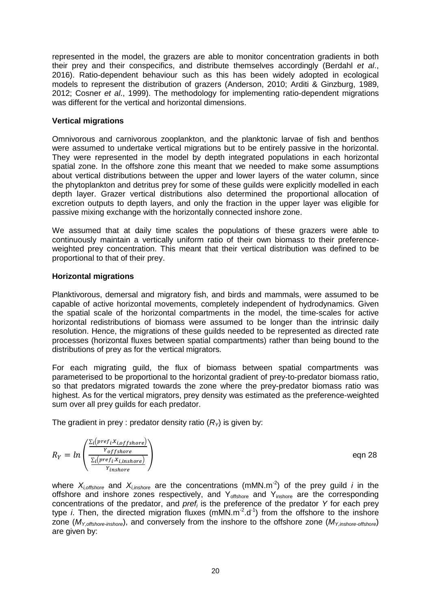represented in the model, the grazers are able to monitor concentration gradients in both their prey and their conspecifics, and distribute themselves accordingly (Berdahl *et al*., 2016). Ratio-dependent behaviour such as this has been widely adopted in ecological models to represent the distribution of grazers (Anderson, 2010; Arditi & Ginzburg, 1989, 2012; Cosner *et al*., 1999). The methodology for implementing ratio-dependent migrations was different for the vertical and horizontal dimensions.

### **Vertical migrations**

Omnivorous and carnivorous zooplankton, and the planktonic larvae of fish and benthos were assumed to undertake vertical migrations but to be entirely passive in the horizontal. They were represented in the model by depth integrated populations in each horizontal spatial zone. In the offshore zone this meant that we needed to make some assumptions about vertical distributions between the upper and lower layers of the water column, since the phytoplankton and detritus prey for some of these guilds were explicitly modelled in each depth layer. Grazer vertical distributions also determined the proportional allocation of excretion outputs to depth layers, and only the fraction in the upper layer was eligible for passive mixing exchange with the horizontally connected inshore zone.

We assumed that at daily time scales the populations of these grazers were able to continuously maintain a vertically uniform ratio of their own biomass to their preferenceweighted prey concentration. This meant that their vertical distribution was defined to be proportional to that of their prey.

### **Horizontal migrations**

Planktivorous, demersal and migratory fish, and birds and mammals, were assumed to be capable of active horizontal movements, completely independent of hydrodynamics. Given the spatial scale of the horizontal compartments in the model, the time-scales for active horizontal redistributions of biomass were assumed to be longer than the intrinsic daily resolution. Hence, the migrations of these guilds needed to be represented as directed rate processes (horizontal fluxes between spatial compartments) rather than being bound to the distributions of prey as for the vertical migrators.

For each migrating guild, the flux of biomass between spatial compartments was parameterised to be proportional to the horizontal gradient of prey-to-predator biomass ratio, so that predators migrated towards the zone where the prey-predator biomass ratio was highest. As for the vertical migrators, prey density was estimated as the preference-weighted sum over all prey guilds for each predator.

The gradient in prey : predator density ratio  $(R<sub>y</sub>)$  is given by:

$$
R_Y = ln\left(\frac{\frac{\sum_i (pref_i x_{i,offshore})}{\sum_i (pref_i x_{i,inshore})}}{\frac{\sum_i (pref_i x_{i,inshore})}{\sum_i (pref_i x_{i,inshore})}}\right)
$$

) eqn 28

where  $X_{i,offshore}$  and  $X_{i,inshore}$  are the concentrations (mMN.m<sup>-2</sup>) of the prey guild *i* in the offshore and inshore zones respectively, and  $Y_{\text{offshore}}$  and  $Y_{\text{inshore}}$  are the corresponding concentrations of the predator, and *pref<sup>i</sup>* is the preference of the predator *Y* for each prey type *i*. Then, the directed migration fluxes (mMN.m<sup>-2</sup>.d<sup>-1</sup>) from the offshore to the inshore zone (*MY,offshore-inshore*), and conversely from the inshore to the offshore zone (*MY,inshore-offshore*) are given by: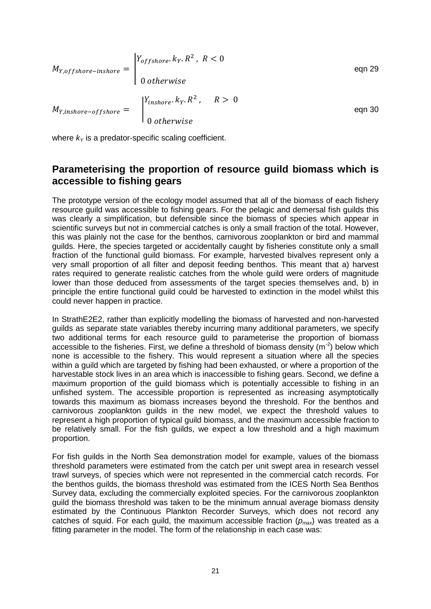$$
M_{Y,offshore-inshere} = \begin{cases} Y_{offshore} \cdot k_Y \cdot R^2, & R < 0 \\ 0 & otherwise \end{cases}
$$
eqn 29  

$$
M_{Y,inshore-offshore} = \begin{cases} Y_{inshore} \cdot k_Y \cdot R^2, & R > 0 \\ 0 & otherwise \end{cases}
$$
eqn 30

where  $k_Y$  is a predator-specific scaling coefficient.

## **Parameterising the proportion of resource guild biomass which is accessible to fishing gears**

The prototype version of the ecology model assumed that all of the biomass of each fishery resource guild was accessible to fishing gears. For the pelagic and demersal fish guilds this was clearly a simplification, but defensible since the biomass of species which appear in scientific surveys but not in commercial catches is only a small fraction of the total. However, this was plainly not the case for the benthos, carnivorous zooplankton or bird and mammal guilds. Here, the species targeted or accidentally caught by fisheries constitute only a small fraction of the functional guild biomass. For example, harvested bivalves represent only a very small proportion of all filter and deposit feeding benthos. This meant that a) harvest rates required to generate realistic catches from the whole guild were orders of magnitude lower than those deduced from assessments of the target species themselves and, b) in principle the entire functional guild could be harvested to extinction in the model whilst this could never happen in practice.

In StrathE2E2, rather than explicitly modelling the biomass of harvested and non-harvested guilds as separate state variables thereby incurring many additional parameters, we specify two additional terms for each resource guild to parameterise the proportion of biomass accessible to the fisheries. First, we define a threshold of biomass density ( $m<sup>2</sup>$ ) below which none is accessible to the fishery. This would represent a situation where all the species within a guild which are targeted by fishing had been exhausted, or where a proportion of the harvestable stock lives in an area which is inaccessible to fishing gears. Second, we define a maximum proportion of the guild biomass which is potentially accessible to fishing in an unfished system. The accessible proportion is represented as increasing asymptotically towards this maximum as biomass increases beyond the threshold. For the benthos and carnivorous zooplankton guilds in the new model, we expect the threshold values to represent a high proportion of typical guild biomass, and the maximum accessible fraction to be relatively small. For the fish guilds, we expect a low threshold and a high maximum proportion.

For fish guilds in the North Sea demonstration model for example, values of the biomass threshold parameters were estimated from the catch per unit swept area in research vessel trawl surveys, of species which were not represented in the commercial catch records. For the benthos guilds, the biomass threshold was estimated from the ICES North Sea Benthos Survey data, excluding the commercially exploited species. For the carnivorous zooplankton guild the biomass threshold was taken to be the minimum annual average biomass density estimated by the Continuous Plankton Recorder Surveys, which does not record any catches of squid. For each guild, the maximum accessible fraction (*pmax*) was treated as a fitting parameter in the model. The form of the relationship in each case was: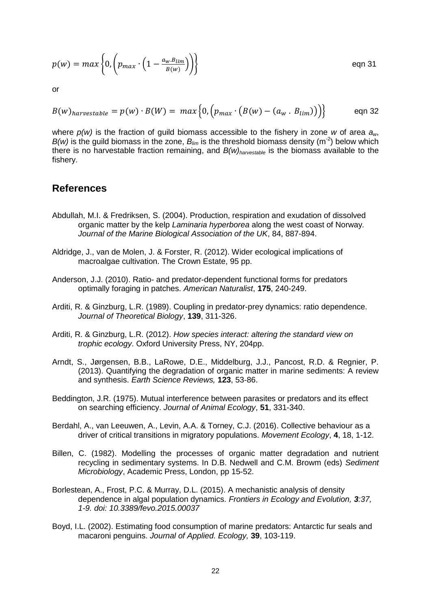$$
p(w) = max \left\{ 0, \left( p_{max} \cdot \left( 1 - \frac{a_w B_{lim}}{B(w)} \right) \right) \right\}
$$
 eqn 31

or

$$
B(w)_{harvestable} = p(w) \cdot B(W) = max \Big\{ 0, \Big( p_{max} \cdot (B(w) - (a_w \cdot B_{lim})) \Big) \Big\}
$$
 eqn 32

where *p(w)* is the fraction of guild biomass accessible to the fishery in zone *w* of area *aw*,  $B(w)$  is the guild biomass in the zone,  $B_{lim}$  is the threshold biomass density (m<sup>-2</sup>) below which there is no harvestable fraction remaining, and *B(w)harvestable* is the biomass available to the fishery.

## **References**

- Abdullah, M.I. & Fredriksen, S. (2004). Production, respiration and exudation of dissolved organic matter by the kelp *Laminaria hyperborea* along the west coast of Norway*. Journal of the Marine Biological Association of the UK*, 84, 887-894.
- Aldridge, J., van de Molen, J. & Forster, R. (2012). Wider ecological implications of macroalgae cultivation. The Crown Estate, 95 pp.
- Anderson, J.J. (2010). Ratio- and predator-dependent functional forms for predators optimally foraging in patches. *American Naturalist*, **175**, 240-249.
- Arditi, R. & Ginzburg, L.R. (1989). Coupling in predator-prey dynamics: ratio dependence. *Journal of Theoretical Biology*, **139**, 311-326.
- Arditi, R. & Ginzburg, L.R. (2012). *How species interact: altering the standard view on trophic ecology*. Oxford University Press, NY, 204pp.
- Arndt, S., Jørgensen, B.B., LaRowe, D.E., Middelburg, J.J., Pancost, R.D. & Regnier, P. (2013). Quantifying the degradation of organic matter in marine sediments: A review and synthesis. *Earth Science Reviews,* **123**, 53-86.
- Beddington, J.R. (1975). Mutual interference between parasites or predators and its effect on searching efficiency. *Journal of Animal Ecology*, **51**, 331-340.
- Berdahl, A., van Leeuwen, A., Levin, A.A. & Torney, C.J. (2016). Collective behaviour as a driver of critical transitions in migratory populations. *Movement Ecology*, **4**, 18, 1-12.
- Billen, C. (1982). Modelling the processes of organic matter degradation and nutrient recycling in sedimentary systems. In D.B. Nedwell and C.M. Browm (eds) *Sediment Microbiology*, Academic Press, London, pp 15-52.
- Borlestean, A., Frost, P.C. & Murray, D.L. (2015). A mechanistic analysis of density dependence in algal population dynamics. *Frontiers in Ecology and Evolution, 3:37, 1-9. doi: 10.3389/fevo.2015.00037*
- Boyd, I.L. (2002). Estimating food consumption of marine predators: Antarctic fur seals and macaroni penguins. *Journal of Applied. Ecology,* **39**, 103-119.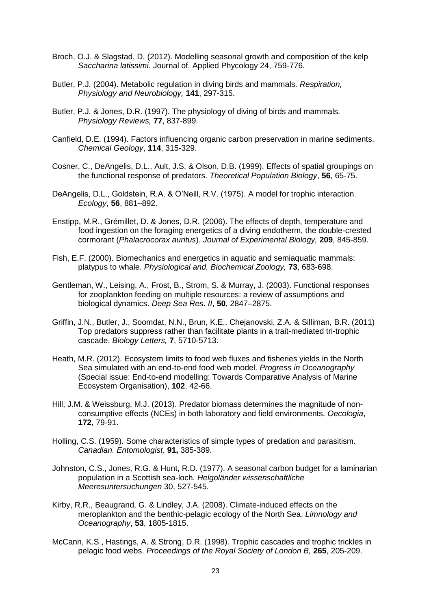- Broch, O.J. & Slagstad, D. (2012). Modelling seasonal growth and composition of the kelp *Saccharina latissimi*. Journal of. Applied Phycology 24, 759-776.
- Butler, P.J. (2004). Metabolic regulation in diving birds and mammals. *Respiration, Physiology and Neurobiology,* **141**, 297-315.
- Butler, P.J. & Jones, D.R. (1997). The physiology of diving of birds and mammals. *Physiology Reviews,* **77**, 837-899.
- Canfield, D.E. (1994). Factors influencing organic carbon preservation in marine sediments. *Chemical Geology*, **114**, 315-329.
- Cosner, C., DeAngelis, D.L., Ault, J.S. & Olson, D.B. (1999). Effects of spatial groupings on the functional response of predators. *Theoretical Population Biology*, **56**, 65-75.
- DeAngelis, D.L., Goldstein, R.A. & O'Neill, R.V. (1975). A model for trophic interaction. *Ecology*, **56**, 881–892.
- Enstipp, M.R., Grémillet, D. & Jones, D.R. (2006). The effects of depth, temperature and food ingestion on the foraging energetics of a diving endotherm, the double-crested cormorant (*Phalacrocorax auritus*). *Journal of Experimental Biology,* **209**, 845-859.
- Fish, E.F. (2000). Biomechanics and energetics in aquatic and semiaquatic mammals: platypus to whale. *Physiological and. Biochemical Zoology,* **73**, 683-698.
- Gentleman, W., Leising, A., Frost, B., Strom, S. & Murray, J. (2003). Functional responses for zooplankton feeding on multiple resources: a review of assumptions and biological dynamics. *Deep Sea Res. II*, **50**, 2847–2875.
- Griffin, J.N., Butler, J., Soomdat, N.N., Brun, K.E., Chejanovski, Z.A. & Silliman, B.R. (2011) Top predators suppress rather than facilitate plants in a trait-mediated tri-trophic cascade. *Biology Letters,* **7**, 5710-5713.
- Heath, M.R. (2012). Ecosystem limits to food web fluxes and fisheries yields in the North Sea simulated with an end-to-end food web model. *Progress in Oceanography* (Special issue: End-to-end modelling: Towards Comparative Analysis of Marine Ecosystem Organisation), **102**, 42-66.
- Hill, J.M. & Weissburg, M.J. (2013). Predator biomass determines the magnitude of nonconsumptive effects (NCEs) in both laboratory and field environments. *Oecologia*, **172**, 79-91.
- Holling, C.S. (1959). Some characteristics of simple types of predation and parasitism*. Canadian. Entomologist*, **91,** 385-389.
- Johnston, C.S., Jones, R.G. & Hunt, R.D. (1977). A seasonal carbon budget for a laminarian population in a Scottish sea-loch*. Helgoländer wissenschaftliche Meeresuntersuchungen* 30, 527-545.
- Kirby, R.R., Beaugrand, G. & Lindley, J.A. (2008). Climate-induced effects on the meroplankton and the benthic-pelagic ecology of the North Sea. *Limnology and Oceanography*, **53**, 1805-1815.
- McCann, K.S., Hastings, A. & Strong, D.R. (1998). Trophic cascades and trophic trickles in pelagic food webs. *Proceedings of the Royal Society of London B,* **265**, 205-209.